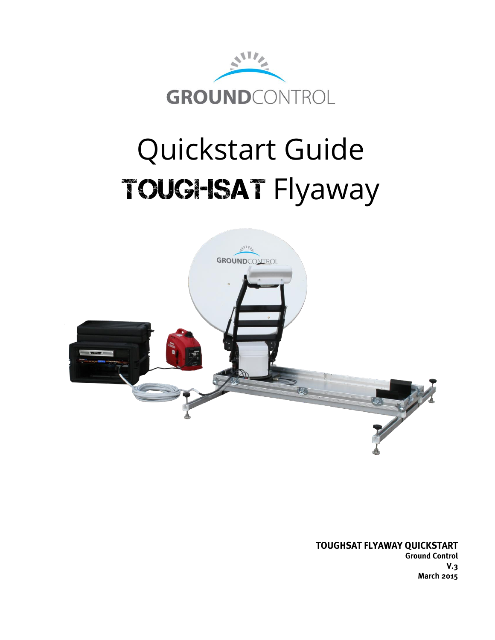

## Quickstart Guide TOUGHSAT Flyaway



**TOUGHSAT FLYAWAY QUICKSTART**

**Ground Control V.3 March 2015**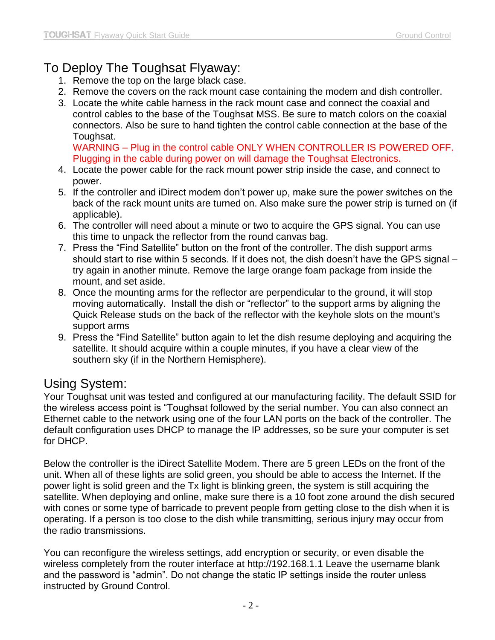## To Deploy The Toughsat Flyaway:

- 1. Remove the top on the large black case.
- 2. Remove the covers on the rack mount case containing the modem and dish controller.
- 3. Locate the white cable harness in the rack mount case and connect the coaxial and control cables to the base of the Toughsat MSS. Be sure to match colors on the coaxial connectors. Also be sure to hand tighten the control cable connection at the base of the Toughsat.

WARNING – Plug in the control cable ONLY WHEN CONTROLLER IS POWERED OFF. Plugging in the cable during power on will damage the Toughsat Electronics.

- 4. Locate the power cable for the rack mount power strip inside the case, and connect to power.
- 5. If the controller and iDirect modem don't power up, make sure the power switches on the back of the rack mount units are turned on. Also make sure the power strip is turned on (if applicable).
- 6. The controller will need about a minute or two to acquire the GPS signal. You can use this time to unpack the reflector from the round canvas bag.
- 7. Press the "Find Satellite" button on the front of the controller. The dish support arms should start to rise within 5 seconds. If it does not, the dish doesn't have the GPS signal try again in another minute. Remove the large orange foam package from inside the mount, and set aside.
- 8. Once the mounting arms for the reflector are perpendicular to the ground, it will stop moving automatically. Install the dish or "reflector" to the support arms by aligning the Quick Release studs on the back of the reflector with the keyhole slots on the mount's support arms
- 9. Press the "Find Satellite" button again to let the dish resume deploying and acquiring the satellite. It should acquire within a couple minutes, if you have a clear view of the southern sky (if in the Northern Hemisphere).

## Using System:

Your Toughsat unit was tested and configured at our manufacturing facility. The default SSID for the wireless access point is "Toughsat followed by the serial number. You can also connect an Ethernet cable to the network using one of the four LAN ports on the back of the controller. The default configuration uses DHCP to manage the IP addresses, so be sure your computer is set for DHCP.

Below the controller is the iDirect Satellite Modem. There are 5 green LEDs on the front of the unit. When all of these lights are solid green, you should be able to access the Internet. If the power light is solid green and the Tx light is blinking green, the system is still acquiring the satellite. When deploying and online, make sure there is a 10 foot zone around the dish secured with cones or some type of barricade to prevent people from getting close to the dish when it is operating. If a person is too close to the dish while transmitting, serious injury may occur from the radio transmissions.

You can reconfigure the wireless settings, add encryption or security, or even disable the wireless completely from the router interface at http://192.168.1.1 Leave the username blank and the password is "admin". Do not change the static IP settings inside the router unless instructed by Ground Control.